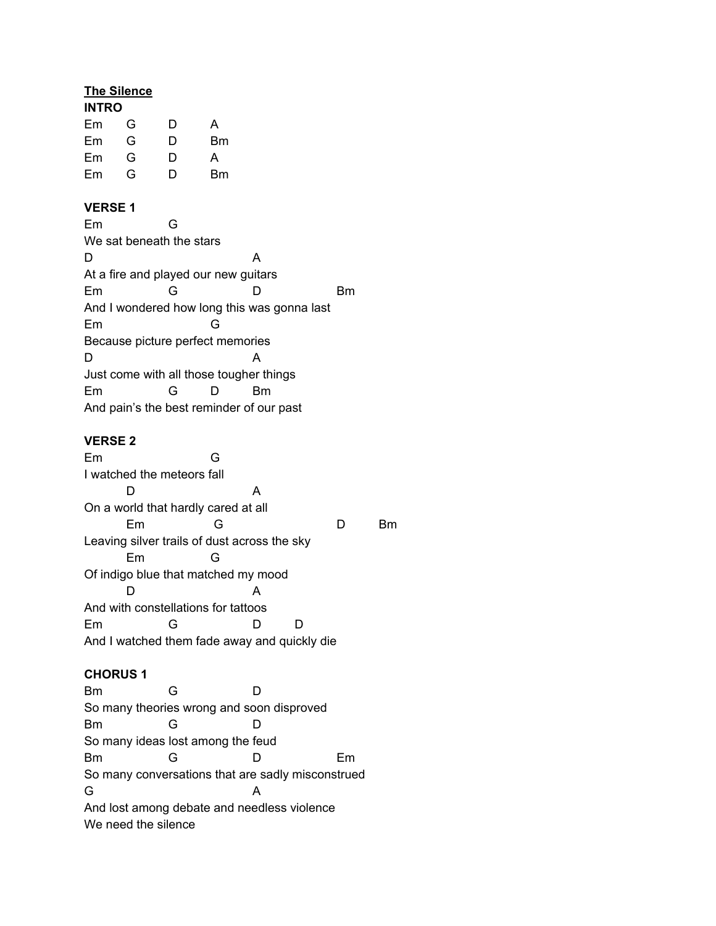# **The Silence**

| <b>INTRO</b> |   |    |  |  |
|--------------|---|----|--|--|
| G            | D | А  |  |  |
| G            | D | Вm |  |  |
| G            | D | А  |  |  |
| G            | D | Вm |  |  |
|              |   |    |  |  |

### **VERSE 1**

| Em                                       | ล                                           |   |    |    |
|------------------------------------------|---------------------------------------------|---|----|----|
| We sat beneath the stars                 |                                             |   |    |    |
| D                                        |                                             |   | А  |    |
| At a fire and played our new guitars     |                                             |   |    |    |
| Em                                       | G                                           |   |    | Вm |
|                                          | And I wondered how long this was gonna last |   |    |    |
| Em                                       |                                             | G |    |    |
| Because picture perfect memories         |                                             |   |    |    |
| D                                        |                                             |   | А  |    |
| Just come with all those tougher things  |                                             |   |    |    |
| Em                                       | G                                           |   | Вm |    |
| And pain's the best reminder of our past |                                             |   |    |    |

### **VERSE 2**

Em G I watched the meteors fall D A On a world that hardly cared at all Em G D Bm Leaving silver trails of dust across the sky Em G Of indigo blue that matched my mood D A And with constellations for tattoos Em G D D And I watched them fade away and quickly die

#### **CHORUS 1**

Bm G D So many theories wrong and soon disproved Bm G D So many ideas lost among the feud Bm G D Em So many conversations that are sadly misconstrued G A And lost among debate and needless violence We need the silence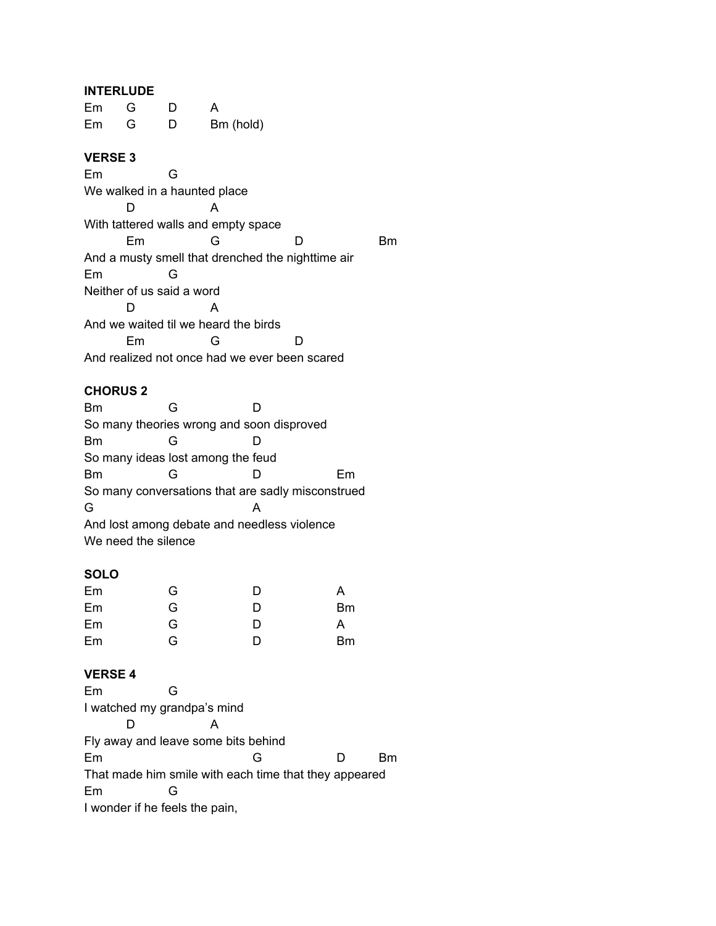### **INTERLUDE**

Em G D A Em G D Bm (hold)

# **VERSE 3**

Em G We walked in a haunted place D A With tattered walls and empty space Em G D Bm And a musty smell that drenched the nighttime air Em G Neither of us said a word D A And we waited til we heard the birds Em G D And realized not once had we ever been scared

#### **CHORUS 2**

| Вm                                                |                                   |                                             |    |  |  |
|---------------------------------------------------|-----------------------------------|---------------------------------------------|----|--|--|
| So many theories wrong and soon disproved         |                                   |                                             |    |  |  |
| Bm                                                | G                                 |                                             |    |  |  |
|                                                   | So many ideas lost among the feud |                                             |    |  |  |
| Bm                                                | G                                 |                                             | Fm |  |  |
| So many conversations that are sadly misconstrued |                                   |                                             |    |  |  |
| G                                                 |                                   | А                                           |    |  |  |
|                                                   |                                   | And lost among debate and needless violence |    |  |  |
|                                                   | We need the silence               |                                             |    |  |  |

# **SOLO**

| Em | G | D | A  |
|----|---|---|----|
| Em | G | D | Вm |
| Em | G | D | A  |
| Em | G | D | Вm |

#### **VERSE 4**

| Em                                                    |                                |  |  |    |
|-------------------------------------------------------|--------------------------------|--|--|----|
|                                                       | I watched my grandpa's mind    |  |  |    |
|                                                       |                                |  |  |    |
| Fly away and leave some bits behind                   |                                |  |  |    |
| Em                                                    |                                |  |  | Rm |
| That made him smile with each time that they appeared |                                |  |  |    |
| Em                                                    | (÷                             |  |  |    |
|                                                       | I wonder if he feels the pain, |  |  |    |